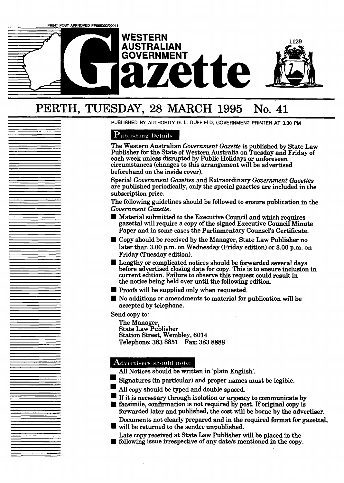

# PERTH, **TUESDAY,** 28 **MARCH 1995 No. 41**

**PUBLISHED BY AUTHORITY G. L. DUFFIELD, GOVERNMENT PRINTER AT 3.30 PM** 

# **Publishing Details**

The Western Australian *Government Gazette* is published by State **Law**  Publisher for the State of Western Australia on Tuesday and Friday of each week unless disrupted by Public Holidays or unforeseen circumstances (changes to this arrangement will be advertised beforehand on the inside cover).

Special *Government Gazettes* and Extraordinary *Government Gazettes*  are published periodically, only the special gazettes **are** included in the subscription price.

The following guidelines should be followed to ensure publication in the *Government Gazette.* 

- **<sup>H</sup>**Material submitted to the Executive Council **and** which requires gazettal will require a copy of the signed Executive Council **Minute**  Paper and in some cases the Parliamentary Counsel's Certificate.
- **H** Copy should be received by the Manager, State Law Publisher no later than **3.00** p.m. on Wednesday (Friday edition) or **3.00 pm.** on Friday (Tuesday edition).
- Lengthy or complicated notices should be forwarded several days before advertised closing date for copy. This is to ensure inclusion in current edition. Failure to observe this request **could** result in the notice being held over until the following edition.
- **H** Proofs will be supplied only when requested.
- No additions or amendments to material for publication will be accepted by telephone.

Send copy to:

The Manager, State Law Publisher Station Street, Wembley, **6014**  Telephone: **383 8851 Fax: 383 8888** 

# $\mathbf A$ dvertisers should note:

- Signatures **(in** particular) and proper names **must** be legible.
- **All** copy should be typed and double spaced.
- If it is necessary through isolation or urgency to communicate by facsimile, confirmation is not required by post. If original copy is

forwarded later and published, the **cost** will be **borne** by the advertiser. Documents not clearly prepared and in the required format for **gazettal,** 

will be returned to the sender unpublished.

Late copy received at State Law Publisher will be placed in the **I** following issue irrespective of **any** date/s mentioned in the copy.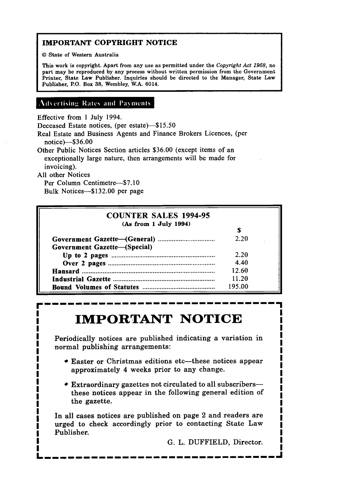# **IMPORTANT COPYRIGHT NOTICE**

**I** <sup>O</sup>**State of Western Australia** 

**This work is copyright. Apart from any use as permitted under the Copyright** *Act* **1968, no part may be reproduced by any process without written permission from the Government**  Printer, State Law Publisher. Inquiries should be directed to the Manager, State Law **Publisher, P.O. Box 38, Wembley, W.A. 6014.** 

# **Advertising Rates and Payments**

Effective from 1 July 1994.

Deceased Estate notices, (per estate)-\$15.50

Real Estate and Business Agents and Finance Brokers Licences, (per notice)-\$36.00

Other Public Notices Section articles \$36.00 (except items of an exceptionally large nature, then arrangements will be made for invoicing).

All other Notices

Per Column Centimetre-\$7.10 Bulk Notices-\$132.00 per page

| <b>COUNTER SALES 1994-95</b> |        |  |
|------------------------------|--------|--|
| (As from 1 July 1994)        |        |  |
|                              | S      |  |
| Government Gazette—(Special) | 2.20   |  |
|                              | 2.20   |  |
|                              | 4.40   |  |
|                              | 12.60  |  |
|                              | 11.20  |  |
|                              | 195.00 |  |

# **IMPORTANT NOTICE**

Periodically notices are published indicating a variation in normal publishing arrangements:

- Easter or Christmas editions etc-these notices appear approximately 4 weeks prior to any change.
- Extraordinary gazettes not circulated to all subscribersthese notices appear in the following general edition of the gazette.

In all cases notices are published on page 2 and readers are urged to check accordingly prior to contacting State Law Publisher.

G. L. DUFFIELD, Director.

-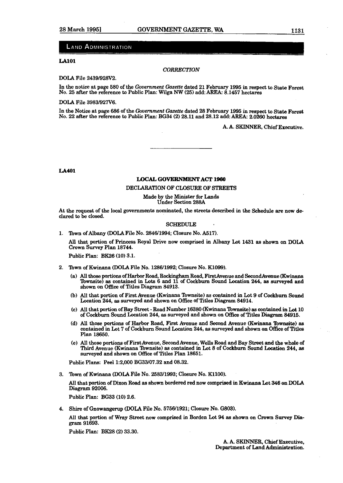#### **LAND ADMINISTRATION**

#### **LA101**

#### *CORRECTION*

DOLA File **24391928V2.** 

In the notice at page **580** of the *Government Gazette* dated **21** February **1995 in** respect **to** State Forest No. 25 after the reference to Public Plan: Wilga NW (25) add: AREA: 8.1457 hectares

DOLA File **39831927V6.** 

In the Notice at page 686 of the *Government Gazette* dated *28* February **1995** in respect **to State** Forest No. 22 after the reference to Public Plan: BG34 (2) 28.11 and 28.12 add: AREA: 2.0260 hectares

A. A. SKINNER, Chief Executive.

**LA401** 

#### **LOCAL GOVERNMENT ACT 1980**

#### DECLARATION OF CLOSURE OF STREETS

#### Made by the Minister for **Lands**  Under Section **288A**

At the request of the local governments nominated, the streets described in the Schedule are now declared to be closed.

#### SCHEDULE

**1.** Town of Albany (DOLA File No. **284611994;** Closure No. **A517).** 

**All** that portion of Princess Royal Drive now comprised in Albany Lot **1431 as shown** on **DOLA**  Crown Survey Plan **18744.** 

Public Plan: **BK26 (10) 3.1.** 

- **2.** Town of Kwinana (DOLA File No. **128611992;** Closure No. **KL099).** 
	- (a) **All those** portions of Harbor Road, **Rockingham** Road, FirstAvenue and SecondAvenue (Hwinaaa flowmite) as contained in **Lots 6** and **11 of** Cockburn Sound Location 244, **as surveyed** and shown on Office of Titles Diagram **84913.**
	- **(b)** All that portion of First Avenue (Kwinana Townsite) as contained in Lot 9 of Cockburn Sound Location **244, as** surveyed and shown on Office of Titles Diagram **84914.**
	- (C) All that portion of Bay Street Road Number **16380** (Kwinana **lbwnsite) ae** contained **in** Lot **10**  of Cockburn Sound Location 244, **as** surveyed and shown on **Office** of Titles Diagram **84915.**
	- **(d) All** those portions of Harbor Road, First Avenue and Second Avenue (Rwinana Townsite) **as**  contained in Lot **7** of Cockburn Sound Location **244, as** surveyed and shown on Office of Titles Plan **18650.**
	- (e) All those portions of FirstAvenue, Second Avenue, Wells Road and Bay Street and **the** whole of Third Avenue (Kwinana Townsite) **as** contained in Lot **8** of Cockburn Sound Location **244, as**  surveyed and shown on Office of Titles Plan **18651.**

Public Plans: Peel **1:2,000 BG33107.32** and **08.32.** 

**3.** Town of Kwinana **(DOLA** File No. **258311993;** Closure No. **K1100).** 

*All* that portion of Dixon Road as shown bordered **red** now comprised in Kwinana Lot 346 on **DOLA Diagram 92006.** 

Public Plan: BG33 **(10) 2.6.** 

**4. Shire** of Gnowangerup **(DO=** File No. **575611921;** Closure No. **G803).** 

All that portion of Wray Street now comprised in Borden Lot 94 as shown on Crown Survey Diagram **91693.** 

Public Plan: **BK28 (2) 33.30.**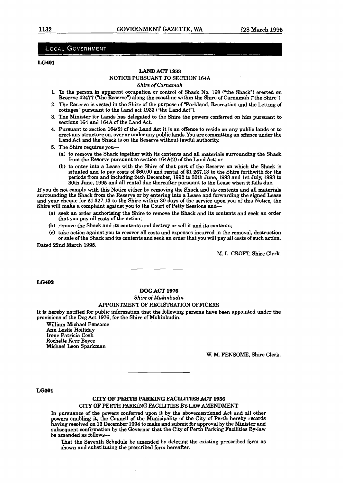#### **LOCAL GOVERNMENT**

#### **LG401**

#### **LAND ACT 1933**

#### NOTICE PURSUANT TO SECTION 164A

*Shire of Carnamah* 

- 1. To the person in apparent occupation or control of Shack No. 168 **("the** Shack") erected on Reserve 42477 ("the Reserve") along the coastline within the Shire of Carnamah ("the Shire").
- 2. The Reserve is vested in the Shire of the purpose of **"Parkland,** Recreation and the Letting of cottages" pursuant to the Land act 1933 ("the Land Act").
- 3. The Minister for Lands has delegated to the Shire the powers conferred on him pursuant to sections l64 and 164A of the Land Act.
- 4. Pursuant to section **164(2)** of the Land Act it is an offence to reside on any public lands or to erect any structure on, over or under any public 1ands.You are committing an offence under the Land Act and the Shack is on the Reserve without lawful authority.
- 5. The Shire **requires** you-
	- (a) to remove the Shack together with its contents and all materials surrounding the Shack from the Reserve pursuant to section  $164A(2)$  of the Land Act; or
	- (b) to enter into a Lease with the Shire of that part of the Reserve on which the Shack is situated and to pay costs of \$60.00 and rental of \$1 267.13 to the Shire forthwith for the periods from and including 24th December, 1992 to 30th June, 1993 and 1st **July,** 1993 to 30th June, 1995 and all rental due thereafter pursuant to the Lease when it falls due.

If you do not comply with this Notice either by removing the Shack and its contents and all materials surrounding the Shack from the Reserve or by entering into a Lease and forwarding the signed **Lease**  and your cheque for \$1 327.13 to the Shire within 30 days of the service upon you of this Notice, the Shire will make a complaint against you to the Court of Petty Sessions **and-** 

- (a) seek an order authorising the Shire to remove the Shack and its contents and seek an order that you pay **all** costs of the action;
- (b) remove the Shack and its contents and destroy or sell it and its contents;
- **(C)** take action against you to recover all costs and expenses incurred in the removal, destruction or sale of the Shack and its contents and seek an order that you will pay all costs of such action. Dated 22nd March 1995.

M. L. CROFT, Shire Clerk.

LG402

#### **DOG ACT 1976**

#### *Shire of Mukinbudin*  APPOINTMENT OF REGISTRATION OFFICERS

It is hereby notified for public information that the following persons have been appointed under the provisions of the Dog Act 1976, for the Shire of Mukinbudin.

WiUiam Michael Fensome Ann Leslie Holliday Irene Patricia Cosh Rochelle **Kerr** Boyce Michael Leon Sparkman

W. M. FENSOME, **Shire** Clerk.

#### **LG301**

#### **CITY OF PERTH PGRELING FACILITIES ACT 1966**

#### CITY OF PERTH PARKING FACILITIES BY-LAW **AMENDMENT**

In pursuance of the powers conferred upon it by the abovementioned Act and all other powers enabling it, the Council of the Municipality of the City of Perth hereby records having resolved on 13 December 1994 to make and submit for approval by the Minister and subsequent wnfirmation by the Governor that the City of Perth **Parking** Facilities By-law be amended as follows-

That the Seventh Schedule be amended by deleting the existing prescribed form as shown and substituting the prescribed form hereafter.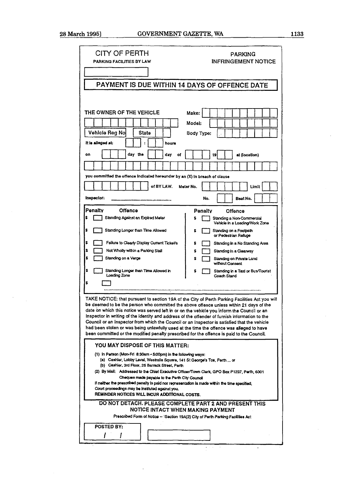| CITY OF PERTH<br><b>PARKING</b><br><b>INFRINGEMENT NOTICE</b><br>PARKING FACILITIES BY LAW                                                                                                                                                                                                                                                                                                                                                                                                                                                                                                                                                                                          |  |  |  |
|-------------------------------------------------------------------------------------------------------------------------------------------------------------------------------------------------------------------------------------------------------------------------------------------------------------------------------------------------------------------------------------------------------------------------------------------------------------------------------------------------------------------------------------------------------------------------------------------------------------------------------------------------------------------------------------|--|--|--|
|                                                                                                                                                                                                                                                                                                                                                                                                                                                                                                                                                                                                                                                                                     |  |  |  |
| PAYMENT IS DUE WITHIN 14 DAYS OF OFFENCE DATE                                                                                                                                                                                                                                                                                                                                                                                                                                                                                                                                                                                                                                       |  |  |  |
| THE OWNER OF THE VEHICLE<br>Make:                                                                                                                                                                                                                                                                                                                                                                                                                                                                                                                                                                                                                                                   |  |  |  |
| Model:                                                                                                                                                                                                                                                                                                                                                                                                                                                                                                                                                                                                                                                                              |  |  |  |
| Vehicle Reg No<br>State<br><b>Body Type:</b><br>it is alleged at:<br>hours                                                                                                                                                                                                                                                                                                                                                                                                                                                                                                                                                                                                          |  |  |  |
| day the<br>day<br>on<br>at (location)<br>of<br>19                                                                                                                                                                                                                                                                                                                                                                                                                                                                                                                                                                                                                                   |  |  |  |
|                                                                                                                                                                                                                                                                                                                                                                                                                                                                                                                                                                                                                                                                                     |  |  |  |
| you committed the offence indicated hereunder by an (X) in breach of clause                                                                                                                                                                                                                                                                                                                                                                                                                                                                                                                                                                                                         |  |  |  |
| of BY LAW.<br>Meter No.<br>Limit                                                                                                                                                                                                                                                                                                                                                                                                                                                                                                                                                                                                                                                    |  |  |  |
| inspector:<br>No.<br>Beat No.                                                                                                                                                                                                                                                                                                                                                                                                                                                                                                                                                                                                                                                       |  |  |  |
| Penaltv<br><b>Offence</b><br>Penalty<br><b>Offence</b>                                                                                                                                                                                                                                                                                                                                                                                                                                                                                                                                                                                                                              |  |  |  |
| Standing Against an Expired Meter<br>s<br>Standing a Non-Commercial<br>Vehicle in a Loading/Work Zone                                                                                                                                                                                                                                                                                                                                                                                                                                                                                                                                                                               |  |  |  |
| \$<br>Standing Longer than Time Allowed<br>\$<br>Standing on a Footpath<br>or Pedestrian Refuge                                                                                                                                                                                                                                                                                                                                                                                                                                                                                                                                                                                     |  |  |  |
| \$<br>Failure to Clearly Display Current Ticket's<br>Standing in a No Standing Arsa<br>s                                                                                                                                                                                                                                                                                                                                                                                                                                                                                                                                                                                            |  |  |  |
| \$<br>Not Wholly within a Parking Stall<br>s<br>Standing in a Clearway                                                                                                                                                                                                                                                                                                                                                                                                                                                                                                                                                                                                              |  |  |  |
| \$<br>Standing on a Verge<br>Standing on Private Land<br>s<br>without Consent                                                                                                                                                                                                                                                                                                                                                                                                                                                                                                                                                                                                       |  |  |  |
| \$<br>Standing Longer than Time Allowed in<br>Standing in a Taxi or Bus/Tourist<br>Loading Zone<br>Coach Stand                                                                                                                                                                                                                                                                                                                                                                                                                                                                                                                                                                      |  |  |  |
| \$                                                                                                                                                                                                                                                                                                                                                                                                                                                                                                                                                                                                                                                                                  |  |  |  |
| TAKE NOTICE: that pursuant to section 19A of the City of Perth Parking Facilities Act you will<br>be deemed to be the person who committed the above offence unless within 21 days of the<br>date on which this notice was served left in or on the vehicle you inform the Council or an<br>Inspector in writing of the identity and address of the offender of furnish information to the<br>Council or an Inspector from which the Council or an Inspector is satisfied that the vehicle<br>had been stolen or was being unlawfully used at the time the offence was alleged to have<br>been committed or the modified penalty prescribed for the offence is paid to the Council. |  |  |  |
| YOU MAY DISPOSE OF THIS MATTER:                                                                                                                                                                                                                                                                                                                                                                                                                                                                                                                                                                                                                                                     |  |  |  |
| (1) In Person (Mon-Fri 8:30am - 5:00pm) in the following ways:<br>(a) Cashier, Lobby Level, Westralia Square, 141 St George's Tce, Perth  or<br>(b) Cashier, 3rd Floor, 25 Barrack Street, Perth                                                                                                                                                                                                                                                                                                                                                                                                                                                                                    |  |  |  |
| (2) By Mail: Addressed to the Chief Executive Officer/Town Clerk, GPO Box P1237, Perth, 6001<br>Cheques made payable to the Perth City Council                                                                                                                                                                                                                                                                                                                                                                                                                                                                                                                                      |  |  |  |
| if neither the prescribed penalty is paid nor representation is made within the time specified,<br>Court proceedings may be instituted against you.<br>REMINDER NOTICES WILL INCUR ADDITIONAL COSTS.                                                                                                                                                                                                                                                                                                                                                                                                                                                                                |  |  |  |
| DO NOT DETACH. PLEASE COMPLETE PART 2 AND PRESENT THIS<br>NOTICE INTACT WHEN MAKING PAYMENT<br>Prescribed Form of Notice -- 'Section 19A(2) City of Perth Parking Facilities Act                                                                                                                                                                                                                                                                                                                                                                                                                                                                                                    |  |  |  |
| <b>POSTED BY:</b>                                                                                                                                                                                                                                                                                                                                                                                                                                                                                                                                                                                                                                                                   |  |  |  |
|                                                                                                                                                                                                                                                                                                                                                                                                                                                                                                                                                                                                                                                                                     |  |  |  |

 $\frac{1}{2}$  ,  $\frac{1}{2}$  ,  $\frac{1}{2}$  ,  $\frac{1}{2}$ 

 $\ddot{\phantom{1}}$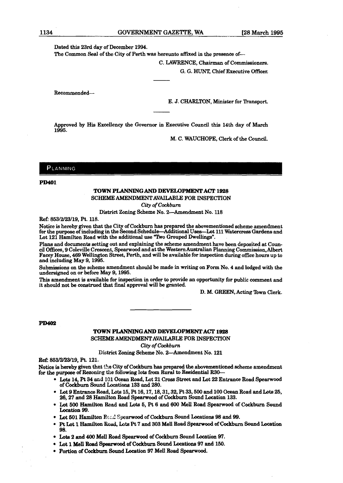Dated this 23rd day of December 1994.

The Common Seal of the City of Perth was hereunto affixed in the presence of-

C. LAWRENCE, Chairman of Commissioners.

G. G. HUNT, Chief Executive Officer.

Recommended-

E. J. CHARLTON, Minister for **Thmport.** 

Approved by **His** Excellency the Governor in Executive Council this 14th day of **March**  1995.

M. C. WAUCHOPE, Clerk of the Council.

PLANNING

**PD401** 

#### **TOWN PLANNINGAND DEVELOPMENT ACT 1928**  SCHEME AMENDMENT AVAILABLE **FOR** INSPECTION

*City of Cockburn* 

**District** Zoning Scheme No. 2-Amendment No. **18** 

**Ref** 853/2/23/19, Pt. 118.

Notice is hereby given that the City of Cockburn **has** prepared the abovementioned scheme amendment for the purpose of including in the Second Schedule-Additional Uses-Lot 111 Watercress Gardens and Lot 121 Hamilton Road with the additional use "Two Grouped Dwellings".

Plans and documents setting out and explaining the scheme amendment have been deposited at Council **Offices,** 9 Coleville Crescent, **Spearwood** and at the Western Australian **Planning** Commission,Albert Facey House, 469 Wellington Street, Perth, and will be available for inspection **during** office hours up to and including May 9,1995.

Submissions on the scheme amendment should be made in writing on Form No. 4 and lodged with the undersigned on or before May 9,1995.

**This** amendment is available for inspection in order to provide an opportunity for public comment and it should not be construed that final approval will be granted.

D. M. **GREEN,** Acting 'Ibwn Clerk.

**PD402** 

#### **TOWN PLmNmGAND DEVEU)PMENTACT 1828**  SCHEME AMEM)MENTAVAILABLE **FOR** INSPECTION

*City of Cockburn* 

District Zoning Scheme No. 2-Amendment No. 121

**Ref:** 853/2/23/19, Pt. 121.

Notice is hereby given that the City of Cockburn has prepared the abovementioned scheme amendment for **the purpose** of Rezoning **the** following lots **from Rural** to Residential **R30-** 

- $\bullet$  Lots 14, Pt 34 and 101 Ocean Road, Lot 21 Cross Street and Lot 22 Entrance Road Spearwood of **Coekburn** Sound Locations 133 and 280.
- Lot 9 **Entrance** Road, Lots 15, Pt 16,17,18,31,32, **Pt** 33,500 and 100 Ocean Road and Lots 25, 26, 27 and 28 Hamilton Road Spearwood of Cockburn Sound Location 133.
- Lot 600 Hamilton Road **aad Lob 6, Pt 6** rand **600** Mell Road **Spearwood** of **Cockbm** Sound Location 99.
- **Lot 601** Hamilton **P,:** :.c! **Spemood** of Cockburn Sound Locations **98** and 99.
- Pt Lot 1 Hamilton **bad, Lots Pt** 7 and **305** Mell Road **Spearwood** of Cockburn Sound **htim**   $\bullet$ **90.**
- **Lob** 2 and **400 Me11** Road **Spearwood** of **Cockburn** Sound Location 97.
- **Lot 1 W Spearwood** of **Cockburn** Sound **Locations** 97 and **150.**
- Portion **of** Cockburn Sound Location 97 **MeU** Road **Spearwood.**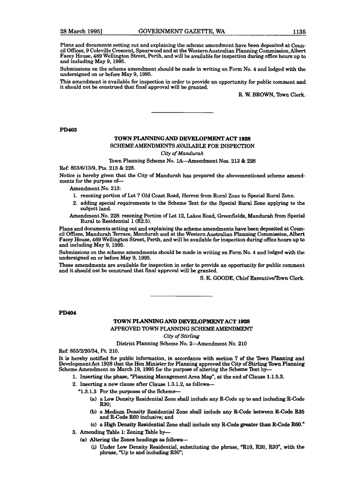Plans and documents setting out and explaining the scheme amendment have been deposited at Council Offices, 9 Coleville Crescent, Spearwood and at the Western Australian Planning Commission, Albert Facey House, 469 Wellington Street, Perth, and will be available for inspection during office hours up **to**  and including May 9,1995.

Submissions on the scheme amendment should be made in writing on Form No. 4 and lodged with the undersigned on or before May 9,1995.

**This** amendment is available for inspection in order to provide an opportunity for public comment and it should not be construed that **frnal** approval will be granted.

R. W. BROWN, Town Clerk.

**PD403** 

#### **TOWN PLANNING AND DEVELOPMENT ACT 1928**  SCHEME AMENDMENTS **AVAILABLE** FOR INSPECTION *City of* Mandumh

Town Planning Scheme No. 1A-Amendment Nos. 213 & 228

**Ref:** 853/6/13/9, Pts. 213 & 228.

Notice is hereby given that the City of Mandurah has prepared the abovementioned scheme amendments for the purpose of-

Amendment No. 213:

- 1. rezoning portion of Lot 7 Old Coast Road, Herron from Rural Zone to Special Rural Zone.
- 2. adding special requirements to the Scheme Text for the Special **Rurai** Zone applying to the subject land.

Amendment No. 228: rezoning Portion of Lot 12, Lakes Road, Greenfields, Mandurah **from** Special Rural to Residential 1 (R2.5).

Plans and documents setting out and explaining the scheme amendments have been deposited at Council **Offices,** Mandurah Terrace, Mandurah and at the Western **Australian** Planning Commission, **AIbert**  Facey House, 469 Wellington Street, Perth, and will be available for inspection during office hours up to and including May 9, 1995.

Submissions on the scheme amendments should be made in writing on Form No. 4 and lodged with the undersigned on or before May 9,1995.

These amendments are available for inspection in order to provide an opportunity for public comment and it should not be construed that final approval will be granted.

S. K. GOODE, Chief Executive/Town Clerk.

**PD404** 

### **TOWN PLANNING AND DEVELOPMENT ACT 1928**

APPROVED **TOWN** PLANNING SCHEME AMENDMENT

*City of Stirling* 

District Planning Scheme No. 2-Amendment No. 210

**Ref:** 853/2/20/34, Pt. 210.

It is hereby notified for public information, in accordance with section 7 of the **nwn Planning** and Development Act 1928 that the Hon Minister for Planning approved the City of Stirling Town Planning Scheme Amendment on March 19, 1995 for the purpose of altering the Scheme Text by-

1. Inserting the phase, "Planning Management Area Map", at the end of Clause 1.1.5.3.

2. Inserting a new clause after Clause 1.3.1.2, as follows--

- "1.3.1.3 For the purposes of the Scheme-
	- (a) a **Low** Density lZesidential Zone shall include any R-Code up **to and induh** Reode **R30**:
	- **(b)** a Medium Density Residential Zone shall include **any** R-Code between **R-Code** R35 and R-Code R60 inclusive; and
	- (C) a High Density hidentid Zone **shall** include any **R-Code** penter than R-Code **R60."**

3. Amending Table 1: Zoning Table by-

- **(a)** Altering the Zones headings **as** follow^+
	- (i) Under Low Density Residential, substituting the phrase, "R10, R20, R30", with the phrase, YJp to and including **R30";**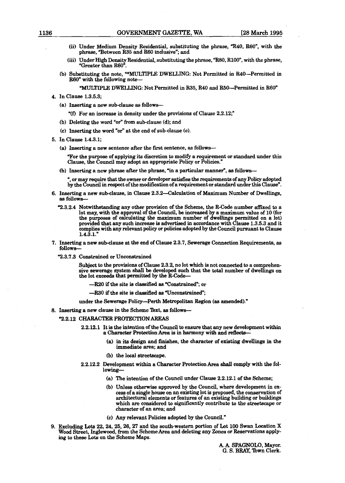- (ii) Under Medium Density Residential, substituting the phrase,  $R40$ , R60", with the phrase, "Between R35 and **R60** inclusive"; and
- (iii) Under High Density Residential, substituting the phrase, "R80, R100", with the phrase, "Greater than  $R60"$ .
- Ib) Substituting the note, **"\*MULTIPLE DWELLING:** Not Permitted in MO-Permitted **in**  R60" with the following note-

**"MULTIPLE DWELLING:** Not Permitted in **R35,** R40 and R50-Permitted in **R60n** 

- 4. In Clause 1.3.5.3;
	- (a) Inserting a new sub-clause as follows--
		- **"(0** For an increase in density under the provisions of Clause 2.2.12;"
	- (b) Deleting the word "or" from sub-clause (d); and
	- (c) Inserting the word "or" at the end of sub-clause (e).
- **5.** In Clause 1.4.3.1;
	- **(a)** Inserting a new sentence after the first sentence, as follows-

Tor the purpose of applying its discretion to modify a requirement or standard under this Clause, the Council may adopt an appropriate Policy or Policies."

**(b)** Inserting a new phrase after the phrase, "in a particular manner", as follows--

", or **may** require that the owner or developer **satisfies** the requirements of any Policy adopted by the Council in respect of the modification of a requirement or standard under this Clause".

- 6. Inserting a new sub-clause, in Clause 2.3.2-Calculation of Maximum Number of Dwellings, **as** follows-
	- "2.3.2.4 Notwithstanding any other provision of the Scheme, the R-Code number **affixed to** a lot **may,** with the approval of the Council, be **increased** by a **maximum** value of 10 (for the purposes of calculating the maximum number of dwellings permitted on a lot) provided that any such increase is advertised in accordance with Clause 1.3.5.3 and it complies with any relevant policy or policies adopted by the Council pursuant to Clause 1.4.3.1."
- 7. Inserting a new sub-clause at the end of Clause 2.3.7, Sewerage Connection Requirements, as follows-
	- "2.3.7.3 Constrained or Unconstrained

Subject to the provisions of Clause 2.3.2, no lot which is not **connected** to a comprehensive sewerage system shall be developed such that the **total** number of dwellings on the lot exceeds that permitted by the R-Code-

- $-$ **R20** if the site is classified as "Constrained"; or
- -R30 if the site is classified as "Unconstrained";

under the Sewerage Policy-Perth Metropolitan Region **(as** amended)."

8. **Inserting** a new clause in the Scheme Text, as follows-

#### '2.2.12 CHARACTER PROTECTION **AREAS**

- 2.2.12.1 It **ia** the intention of the Council **to** ensure that any new development **within**  a Character Protection Area is in harmony with and **reflects-** 
	- **(a)** in its design and finishes, the character of existing dwellings in the immediate area; and
	- (b) the local streetscape.
- 2.2.12.2 Development **within** a Charader Protection Area **shall** comply with the following-
	- (a) The intention of the Council under Clause 2.2.12.1 of the Scheme;
	- (b) Unless otherwise approved by the Council, where development **in excess** of a single house on an existing lot **is** proposed, the conservation of architectural elementa or features of an existing building or **buildings**  which **are** considered to significantly contribute **to** the streetscape or character of an area; and
	- (c) Any relevant Policies adopted by the Council."
- 9. Excluding Lots 22, 24, 25, 26, 27 and the south-western portion of Lot 100 Swan Location X Wood **Street,** Inglewood, from the Scheme Area and deleting any Zones or **Remations** apply**ing to** these **Lots** on the Scheme Maps.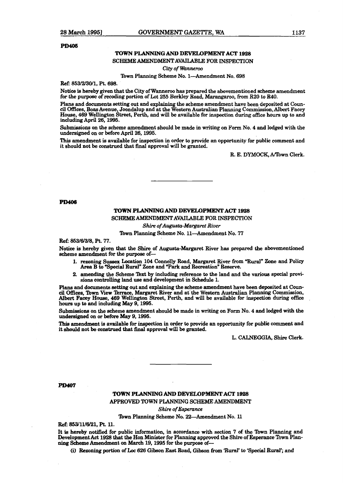#### **PD405**

#### **TOWN PLANNING AND DEVELOPMENT ACT 1928**

#### SCHEME **AMENDMENT** AVAILABLE FOR INSPECTION

**City of Wanneroo** 

Town Planning Scheme No. 1-Amendment No. 698

**ReE 853/2/30/1,** Pt. 698.

Notice is hereby given that the City of Wanneroo **haa** prepared the abovementioned **echeme** amendment for the purpow of **xecodiog** portion of Lot 255 Berkley Road, **Marangaroo, hm** R20 **to MO.** 

Plans and documents setting out and explaining the scheme amendment have been deposited at Council Offices, Boas Avenue, Joondalup and at the Western Australian Planning Commhsion,Albert **Facey**  House, 469 Wellington Street, Perth, and will be available for inspection **during** office hours up **to and**  including April 26,1995.

Submissions on the scheme amendment should be made in writing on Form No. 4 and lodged with the undersigned on or before April 26,1995.

**This** amendment is available for inspection **kn** order **k,** provide **an** opportunity for public comment and it should not be construed that final approval will be **granted.** 

R. E. **DYMOCK, iVIbwn** Clerk.

#### **PD406**

#### **TOWN PLANNING AND** DEVELOPMENT ACT 1928 SCHEME AMENDMENT AVAILABLE FOR INSPECTION

**Shire** *ofAugwta-Margaret* **River** 

Town Planning Scheme No. 11-Amendment No. 77

**Ref: 863/6/3/8,** Pt. 77.

Notice is hereby given that the Shire of Augusta-Margaret River **has** prepared the abovementioned scheme amendment for the purpose of-

- 1. rezoning Suaeex Location 104 Connelly Road, Margaret River **from "Rural"** Zone and Policy **Area B to** "Special Ruraln Zone and **"Park** and Recreation" Reserve.
- 2. amending the Scheme Text by including reference to the land and the various special proviantending the Scheme Text by including reference to the rations controlling land use and development in Schedule 1.

**Plans and documents setting out and explaining the scheme amendment have been deposited at Council** Offices, Town View lbrrace, Margaret River and at'the Western Australian Planning Commission, Albert Facey House, 469 Wellington Street, Perth, and will be available for inspection during office hours up **to** and including May 9,1995.

Submissiom on the scheme amendment should be made in **writing** on **Form** No. 4 and lodged with the undersigned on or before May 9,1995.

**This** amendment is available for inspection in order to provide an opportunity for public comment and it should not be **construed** that final approval will be granted.

L. **CN.NEGGIA, Shire** Clerk.

**PD407** 

# **TOWN PIANNING** *AND* **DEWELOPMENT ACT 18128**

**APPROVED TOWN** PUNNING SCHEME **AMENDMENT** 

Shire **of** Espemnce

lbwn **Plaaning** Scheme No. 22-Amendment No. 11

**Ref:** 853/11/g/21, **Pt.** 11.

It **is** hereby notified for public information, in accordance with section 7 of the **'Ibwn** Planning and Development Act 1928 that the Hon Minister for Planning approved the Shire of Esperance Town Planning Scheme Amendment on March 19, 1995 for the purpose of-

**(i)** Rezoning partion of **Loc** 626 Gibson East Road, Gibson **from !Rural'** to **'Special Rural'; and**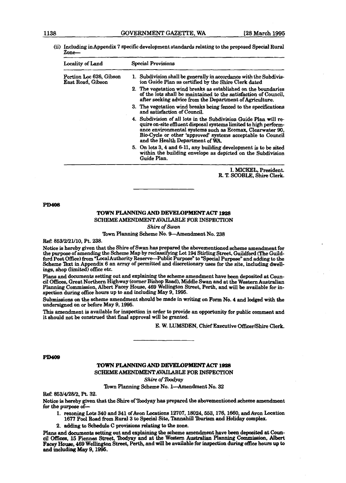| (ii) Including in Appendix 7 specific development standards relating to the proposed Special Rural |
|----------------------------------------------------------------------------------------------------|
| $\mathsf{Zone}-$                                                                                   |

| <b>Locality of Land</b>                      | Special Provisions                                                                                                                                                                                                                                                                                    |  |  |
|----------------------------------------------|-------------------------------------------------------------------------------------------------------------------------------------------------------------------------------------------------------------------------------------------------------------------------------------------------------|--|--|
| Portion Loc 626, Gibson<br>East Road, Gibson | 1. Subdivision shall be generally in accordance with the Subdivis-<br>ion Guide Plan as certified by the Shire Clerk dated                                                                                                                                                                            |  |  |
|                                              | 2. The vegetation wind breaks as established on the boundaries<br>of the lots shall be maintained to the satisfaction of Council,<br>after seeking advice from the Department of Agriculture.                                                                                                         |  |  |
|                                              | 3. The vegetation wind breaks being fenced to the specifications<br>and satisfaction of Council.                                                                                                                                                                                                      |  |  |
|                                              | 4. Subdivision of all lots in the Subdivision Guide Plan will re-<br>quire on-site effluent disposal systems limited to high perform-<br>ance environmental systems such as Ecomax, Clearwater 90,<br>Bio-Cycle or other 'approved' systems acceptable to Council<br>and the Health Department of WA. |  |  |
|                                              | 5. On lots 3, 4 and 6-11, any building development is to be sited<br>within the building envelope as depicted on the Subdivision<br>Guide Plan.                                                                                                                                                       |  |  |

I. WCKEL, President. R. T. SCOBLE. Shire Clerk.

**PD408** 

### **TOWN PLANNING AND DEVELOPMENT ACT 1928**

SCHEME AMENDMENT AVAILABLE FOR INSPECTION

*Shire* **of** *Swan* 

Town Planning Scheme No. 9-Amendment No. 238

Ref: 853/2/21/10, Pt. 238.

Notice is hereby given that the Shire of Swan has prepared the abovementioned **scheme** amendment for the **purpose** of amending the Scheme Map by reclassifying Lot 194 Stirling Street, Guildford **(The** Guildford Post Office) from "Local Authority Reserve--Public Purpose" to "Special Purpose" and adding to the Scheme Text in Appendix 6 an array of permitted and discretionary uses for the site, including dwell**ings,** shop **(limited)** office etc.

Plans and documents setting out and explaining the scheme amendment have been deposited at Council **Offices,** Great Northern Highway (corner Bishop Road), Middle Swan and at the **Western Australian**  Planning Commission, **Albert** Facey House, 469 Wellington Street, Perth, and will be available for inspection during office hours up to and including **May** 9,1995.

**Submissions** on the scheme amendment should be made in **writing** on Form No. 4 and lodged with the undersigned on or before May 9,1995.

This amendment is available for inspection in order to provide an opportunity for public comment and it should not be **construed** that **final** approval will be **granted.** 

E. W. LUMSDEN, Chief Executive OfFicer/Shire Clerk,

#### **PD409**

# **TOWN PLANNING AND DEVELOPMENT ACT 1928**

SCHEME **AMENDMENT AVAILABLEl FOR** INSFECTION

*Shire* **of** *lbodyay* 

#### Town **Planning** Scheme No. l-Amendment No. 32

**Ref. %3/U28/2,** Pt. 32.

Notice **is hereby** given **that** the **Shire** of Wyay **has** prepared the abovementioned scheme amendment for the purpose of-

- f. **rezoning** Lots 340 and 541 of Avon **Locations** 12707,18024,563,176,1660, and Avon Location 1677 Pool Road **from Rural** 3 **to Special Site,** Tannahill lburism and **Holiday** complex.
- **2. adding to** Schedule **C pmvieiona** relating **to** the zone.

Plans and documents setting out and explaining the scheme amendment have been deposited at Council Offices, 15 Fiennes Street, Toodyay and at the Western Australian Planning Commission, Albert **Facey House, 469** Wellington **Street,** Perth, and **will** be available for inrrpection **dwhg office** hours up **to and inc1uding May 9,1996.**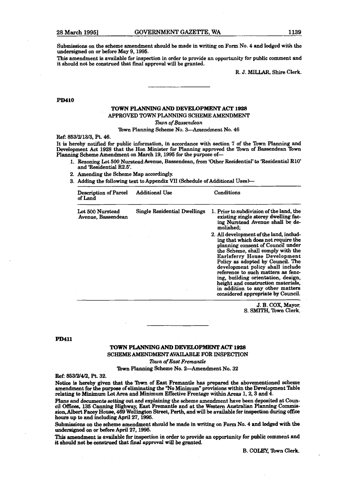Submissions on the scheme amendment should be made in writing on Form No. 4 and lodged with the undersigaed on or before **May** 9,1995.

This amendment is available for inspection in order to provide an opportunity for public comment and it should not be conskued **that** final approval will be granted.

**R. J. MILLAR, Shire** Clerk.

#### **PD410**

#### **TOWN PLANNING AND DGVEIA)PMENT ACT** 1928 APPROVED **TOWN** PLANNING SCHEME **AMENDMENT**

*Zbwn* **of** Bassendean

Town Planning Scheme No. 3-Amendment No. 46

**Ref:** 853/243/3, Pt. 46.

It is hereby notified for public information, in accordance with section **7** of the Town Planning and Development Act 1928 that the Hon Minister for Planning approved the Town of Bassendean lbwn Planning Scheme Amendment on March 19, 1995 for the purpose of-

- l. Rezoning Lot 500 Nurstead Avenue, Bassendean, from 'Other Residential' **to** 'Residential RIO' and 'Residential R2.5'.
- 2. Amending the Scheme Map accordingly.
- 3. Adding the following text to Appendix VII (Schedule of Additional Uses)-

| <b>Description of Parcel</b><br>of Land | <b>Additional Use</b>               | Conditions                                                                                                                                                                                                                                                                                                                                                                                                                                                    |
|-----------------------------------------|-------------------------------------|---------------------------------------------------------------------------------------------------------------------------------------------------------------------------------------------------------------------------------------------------------------------------------------------------------------------------------------------------------------------------------------------------------------------------------------------------------------|
| Lot 500 Nurstead<br>Avenue, Bassendean  | <b>Single Residential Dwellings</b> | 1. Prior to subdivision of the land, the<br>existing single storey dwelling fac-<br>ing Nurstead Avenue shall be de-<br>molished:                                                                                                                                                                                                                                                                                                                             |
|                                         |                                     | 2. All development of the land, includ-<br>ing that which does not require the<br>planning consent of Council under<br>the Scheme, shall comply with the<br>Earlsferry House Development<br>Policy as adopted by Council. The<br>development policy shall include<br>reference to such matters as fenc-<br>ing, building orientation, design,<br>height and construction materials,<br>in addition to any other matters<br>considered appropriate by Council. |

J. B. COX, Mayor, S. **SMITH,** Town Clerk.

#### **PD411**

#### **TOWN PUNNING AND DEVELOPMENT ACT 1928**

**SCHEME AMENDMENT AVAILABLE FOR** INSPECTION

**lbwn of** *East Fremantle* 

Town Planning Scheme No. 2-Amendment No. 32

**R&** 853/2/4/2, Pt. 32.

**Notice** is hereby given that **the** 'Ibwn of East Fremantle **has** prepared the abovementioned scheme amendment for the purpose of eliminating the "No Minimum" provisions within the Development Table relating **t;o Minimum** Lot **Area** and **Minimum** Effective Frontage **within Areas 1,2,3** and 4.

**Plane** and documents **setting** out and **explaining** the scheme amendment bave been deposited at Council Offices, 135 Canning Highway, East Fremantle and at the Western Australian Planning Comm sion,Albert **Facey** House, 469 Wellington Street, Perth, and will be available for **insp.ction during** office how up **to** and including **April** 27,1996.

Submissiom on **the** scheme amendment should be made in writing on Form No. 4 and **lodged with** the undersigned on or before April 27,1996.

**This** amendment is available for inspection in **order** to provide an opportunity for public comment and it should not be **constxued** that **approval will be** *granted.* 

**B. COLEY, Town Clerk.**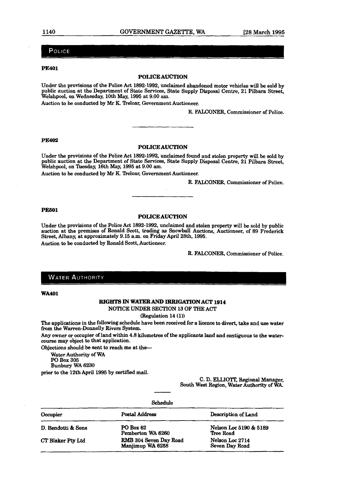### POLICE

#### **PE401**

#### **POLICE AUCTION**

Under **the** provisions of the Police Act 1892-1992, unclaimed abandoned motor vehicles will be sold by public auction at the Department of State Services, State Supply Disposal Cente, 21 Pibara Street, Welshpool, on Wednesday, 10th May, 1995 at 9.00 **am.** 

Auction to be conducted by Mr K. Treloar, Government Auctioneer.

R. **FALCONER,** Commissioner of Police.

#### **PE402**

#### **POLICE AUCTION**

Under the provisions of the Police Act 1892-1992, unclaimed found and stolen property **wiU** be **sold** by public auction at the Department of State **Services,** State Supply Disposal Centre, 21 Pilbara Street, **Welshpool,** on !heday, 16th May, 1995 at 9.00 am.

Auction to be conducted by **Mr** K Treloar, Government Auctioneer.

R. FALCONER, Commissioner of Police.

#### **PE601**

#### **POLICE AUCTION**

Under the provisions of the Police Act 1892-1992, unclaimed and stolen property will be sold by public auction at the premises of Ronald Scott, trading as Snowball Auctions, Auctioneer, of 89 Frederick Street, Albany, at approximately 9.15 a.m. on Friday April 28th, 1995. Auction to be conducted by Ronald Scott, Auctioneer.

R. FALCONER, Commissioner of Police.

#### **WATER AUTHORITY**

**WA401** 

#### **RIGHTS IN WATER AND IRRIGATION ACT** 1914

NOTICE UNDER SECTION **13** OF THE ACT

#### (Regulation 14 **(1))**

The applications in the following schedule have **been** received for a licence to divert, take and **use water**  from the Warren-Domelly Rivers System.

**Any** owner or occupier of land within 4.8 kilometres of the applicants land and contiguous to the watercourse may object to that application.

Objections should be sent to **reach** me at the-

Water Authority of WA

PO Box **305** 

Bunbury WA 6230

prior to the 12th April 1995 by certifled mail.

C. D. **ELUOTI:** Regional Manager, South **Weet** Region, Water Authority of WA

| Schedule           |                                            |                                     |  |
|--------------------|--------------------------------------------|-------------------------------------|--|
| Occupier           | <b>Postal Address</b>                      | Description of Land                 |  |
| D. Bendotti & Sons | <b>PO Box 62</b><br>Pemberton WA 6260      | Nelson Loc 5190 & 5189<br>Tree Road |  |
| CT Blaker Pty Ltd  | RMB 304 Seven Day Road<br>Manjimup WA 6258 | Nelson Loc 2714<br>Seven Day Road   |  |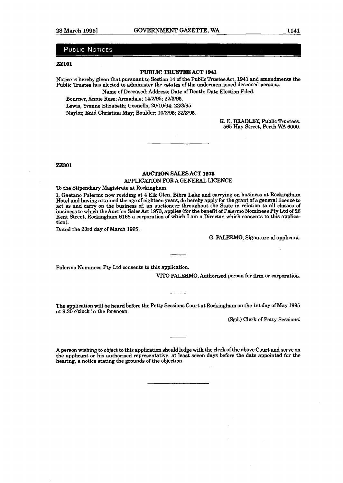#### **PUBLIC NOTICES**

#### **ZZlOl**

#### **PUBLIC TRUSTEE ACT 1941**

Notice is hereby given that pursuant to Section 14 of the Public Trustee Act, 1941 and amendments the Public **Trustee has** elected to administer the estates of the undermentioned deceased persons.

Name of Deceased; Address; Date of Death; Date Election Filed.

Bourner, Annie Rose; Armadale; 14/2/95; 2213195.

Lewis, Yvonne Elizabeth; Gosnells; 20/10/94; 22/3/95.

Naylor, Enid Christina May; Boulder; 10/2/95; 22/3/95.

K. E. BRADLEY, Public Trustees. 565 Hay Street, Perth WA 6000.

**ZZ301** 

#### **AUCTION SALES ACT 1975**  APPLICATION FOR A GENERAL LICENCE

'Ib the Stipendiary Magistrate at Rockingham.

**1,** Gaetano Palermo now residing at 4 Elk Glen, Bibra Lake and carrying on business at **Rockingham**  Hotel and having attained the age of eighteen years, do hereby apply for the grant of a general licence **to**  act **as** and **carry** on the business of, an auctioneer throughout the State in relation to **all** classes of business to which the Auction SalesAct 1973, applies (for the benefit of Palermo Nominees Pty **Ltd** of 26 Kent Street, Rockingham **6168** a corporation of which I am a Director, which consents to this application).

Dated the 23rd day of March 1995.

G. PALERMO, Signature of applicant.

Pdermo Nominees Pty Ltd consents to this application.

**VITO PALERMO,** Authorised person for firm or corporation.

The application will be heard before the Petty Sessions Court at Rockingham on the 1st day of May **1995**  at 9.30 o'clock in the forenoon.

(Sgd.) Clerk of Petty Sessions.

A person wishing to object to this application should lodge with the clerk of the above **Court** and serve on the applicant or his authorised representative, at least seven days before the date appointed for the hearing, a notice stating the **grounds** of the objection.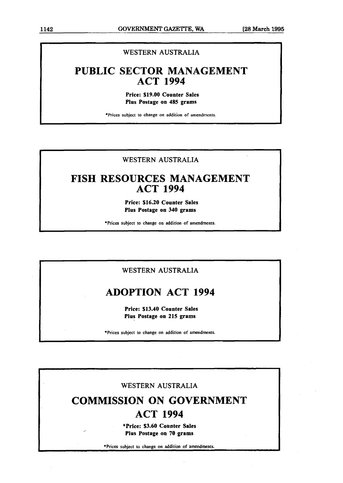# WESTERN AUSTRALIA

# **PUBLIC SECTOR MANAGEMENT ACT 1994**

**Price: \$19.00 Counter Sales Plus Postage on 485 grams** 

\*Prices subject to change on addition of amendments.

## WESTERN AUSTRALIA

# **FISH RESOURCES MANAGEMENT ACT 1994**

**Price: \$16.20 Counter Sales Plus Postage on 340 grams** 

\*Prices subject to change on addition of amendments.

### WESTERN AUSTRALIA

# **ADOPTION ACT 1994**

**Price: \$13.40 Counter Sales Plus Postage on 215 grams** 

\*Prices subject to change on addition of amendments.

### WESTERN AUSTRALIA

# COMMISSION ON GOVERNMENT **ACT 1994**

**'Price: \$3.60 Counter Sales Plus Postage on 70 grams** 

\*Prices subject to change on addition of amendments.

**L**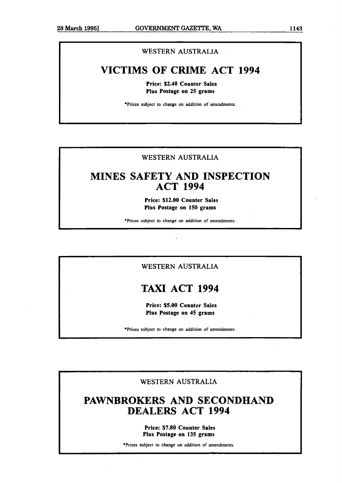p-- - --pp

### **WESTERN AUSTRALIA**

# **VICTIMS OF CRIME ACT 1994**

**Price: \$2.40 Counter Sales Plus Postage on 25 grams** 

**\*Prices subject to change on addition of amendments.** 

# **WESTERN AUSTRALIA**

# **MINES SAFETY AND INSPECTION ACT 1994**

**Price: \$12.00 Counter Sales Plus Postage on 150 grams** 

**'Prices subject to change on addition of amendments.** 

## **WESTERN AUSTRALIA**

# **TAXI ACT 1994**

**Price: \$5.00 Counter Sales Plus Postage on 45 grams** 

**\*Prices subject to change on addition of amendments.** 

**WESTERN AUSTRALIA** 

# **PAWNBROKERS AND SECQNDHAND DEALERS ACT 1994**

**Price: \$7.80 Counter Sales Plus Postage on 135 grams** 

**\*Prices subject to change on addition of amendments.**